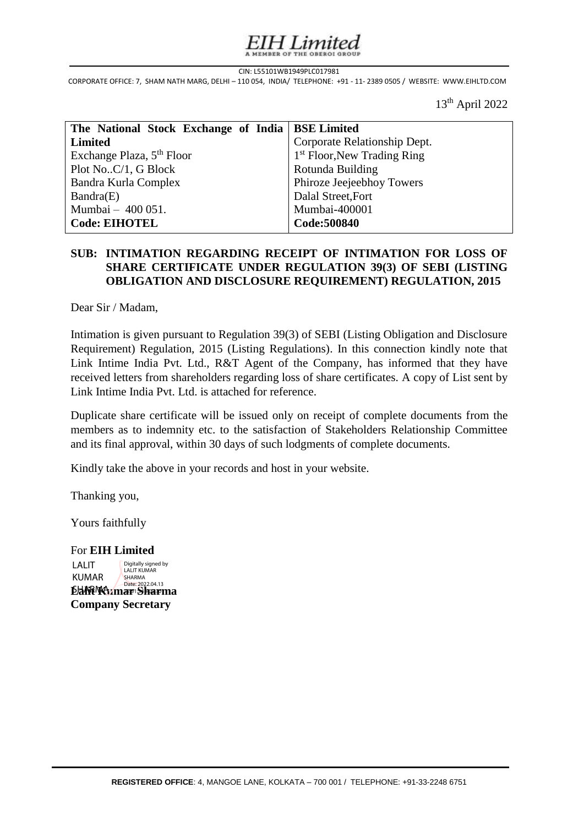# Limited

#### CIN: L55101WB1949PLC017981

CIN: L55101WB1949PLC017981<br>CORPORATE OFFICE: 7, SHAM NATH MARG, DELHI – 110 054, INDIA/ TELEPHONE: +91 - 11- 2389 0505 / WEBSITE: WWW.EIHLTD.COM s

13th April 2022

| The National Stock Exchange of India   BSE Limited |                                         |
|----------------------------------------------------|-----------------------------------------|
| Limited                                            | Corporate Relationship Dept.            |
| Exchange Plaza, 5 <sup>th</sup> Floor              | 1 <sup>st</sup> Floor, New Trading Ring |
| Plot NoC/1, G Block                                | Rotunda Building                        |
| Bandra Kurla Complex                               | Phiroze Jeejeebhoy Towers               |
| Bandra(E)                                          | Dalal Street, Fort                      |
| Mumbai - 400 051.                                  | Mumbai-400001                           |
| <b>Code: EIHOTEL</b>                               | Code:500840                             |

### | **SUB: INTIMATION REGARDING RECEIPT OF INTIMATION FOR LOSS OF**  I **OBLIGATION AND DISCLOSURE REQUIREMENT) REGULATION, 2015 SHARE CERTIFICATE UNDER REGULATION 39(3) OF SEBI (LISTING**

Dear Sir / Madam,

Intimation is given pursuant to Regulation 39(3) of SEBI (Listing Obligation and Disclosure Requirement) Regulation, 2015 (Listing Regulations). In this connection kindly note that Link Intime India Pvt. Ltd., R&T Agent of the Company, has informed that they have received letters from shareholders regarding loss of share certificates. A copy of List sent by Link Intime India Pvt. Ltd. is attached for reference.

Duplicate share certificate will be issued only on receipt of complete documents from the members as to indemnity etc. to the satisfaction of Stakeholders Relationship Committee and its final approval, within 30 days of such lodgments of complete documents.

Kindly take the above in your records and host in your website.

Thanking you,

Yours faithfully

For **EIH Limited Lalit Kumar Sharma Company Secretary** LALIT KUMAR Digitally signed by LALIT KUMAR SHARMA Date: 2022.04.13